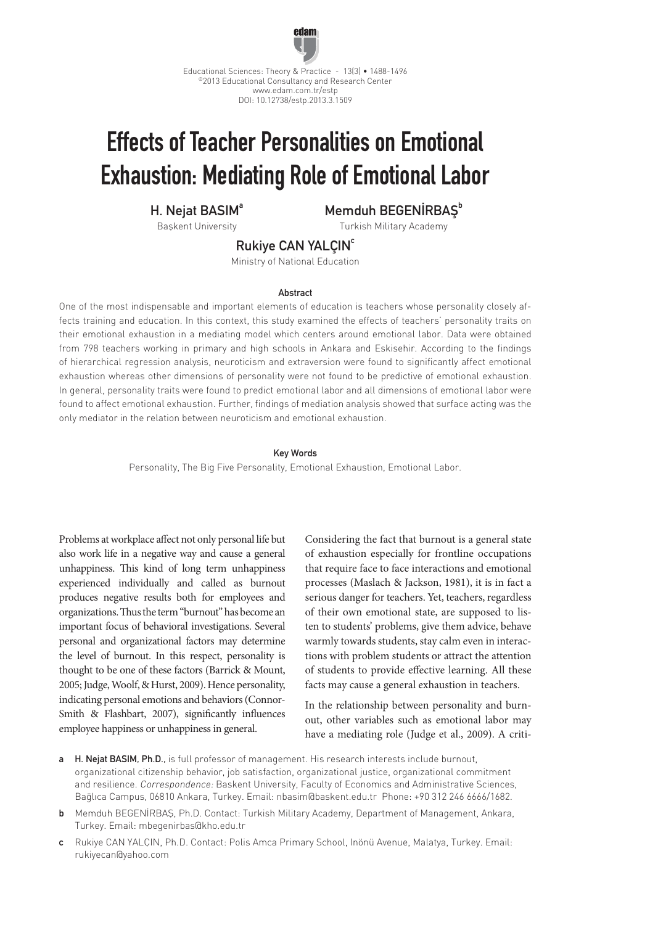

# Effects of Teacher Personalities on Emotional Exhaustion: Mediating Role of Emotional Labor

H. Nejat BASIM<sup>a</sup> Başkent University

Memduh BEGENİRBAS<sup>b</sup>

Turkish Military Academy

Rukiye CAN YALCIN<sup>c</sup>

Ministry of National Education

#### Abstract

One of the most indispensable and important elements of education is teachers whose personality closely affects training and education. In this context, this study examined the effects of teachers' personality traits on their emotional exhaustion in a mediating model which centers around emotional labor. Data were obtained from 798 teachers working in primary and high schools in Ankara and Eskisehir. According to the findings of hierarchical regression analysis, neuroticism and extraversion were found to significantly affect emotional exhaustion whereas other dimensions of personality were not found to be predictive of emotional exhaustion. In general, personality traits were found to predict emotional labor and all dimensions of emotional labor were found to affect emotional exhaustion. Further, findings of mediation analysis showed that surface acting was the only mediator in the relation between neuroticism and emotional exhaustion.

#### Key Words

Personality, The Big Five Personality, Emotional Exhaustion, Emotional Labor.

Problems at workplace affect not only personal life but also work life in a negative way and cause a general unhappiness. This kind of long term unhappiness experienced individually and called as burnout produces negative results both for employees and organizations. Thus the term "burnout" has become an important focus of behavioral investigations. Several personal and organizational factors may determine the level of burnout. In this respect, personality is thought to be one of these factors (Barrick & Mount, 2005; Judge, Woolf, & Hurst, 2009). Hence personality, indicating personal emotions and behaviors (Connor-Smith & Flashbart, 2007), significantly influences employee happiness or unhappiness in general.

Considering the fact that burnout is a general state of exhaustion especially for frontline occupations that require face to face interactions and emotional processes (Maslach & Jackson, 1981), it is in fact a serious danger for teachers. Yet, teachers, regardless of their own emotional state, are supposed to listen to students' problems, give them advice, behave warmly towards students, stay calm even in interactions with problem students or attract the attention of students to provide effective learning. All these facts may cause a general exhaustion in teachers.

In the relationship between personality and burnout, other variables such as emotional labor may have a mediating role (Judge et al., 2009). A criti-

- a H. Nejat BASIM, Ph.D., is full professor of management. His research interests include burnout, organizational citizenship behavior, job satisfaction, organizational justice, organizational commitment and resilience. Correspondence: Baskent University, Faculty of Economics and Administrative Sciences, Bağlıca Campus, 06810 Ankara, Turkey. Email: nbasim@baskent.edu.tr Phone: +90 312 246 6666/1682.
- b Memduh BEGENİRBAŞ, Ph.D. Contact: Turkish Military Academy, Department of Management, Ankara, Turkey. Email: mbegenirbas@kho.edu.tr
- c Rukiye CAN YALÇIN, Ph.D. Contact: Polis Amca Primary School, Inönü Avenue, Malatya, Turkey. Email: rukiyecan@yahoo.com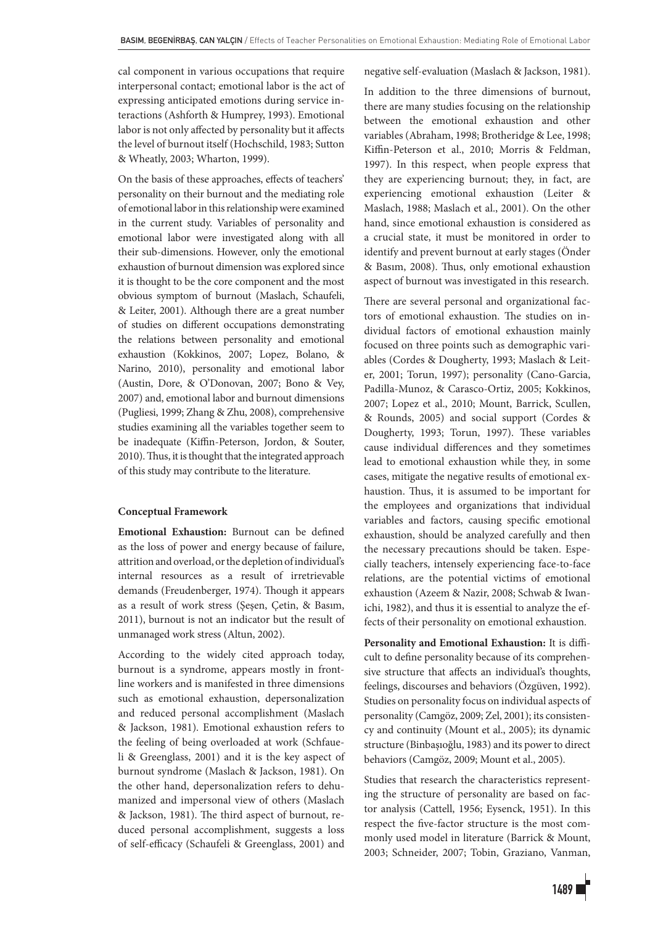cal component in various occupations that require interpersonal contact; emotional labor is the act of expressing anticipated emotions during service interactions (Ashforth & Humprey, 1993). Emotional labor is not only affected by personality but it affects the level of burnout itself (Hochschild, 1983; Sutton & Wheatly, 2003; Wharton, 1999).

On the basis of these approaches, effects of teachers' personality on their burnout and the mediating role of emotional labor in this relationship were examined in the current study. Variables of personality and emotional labor were investigated along with all their sub-dimensions. However, only the emotional exhaustion of burnout dimension was explored since it is thought to be the core component and the most obvious symptom of burnout (Maslach, Schaufeli, & Leiter, 2001). Although there are a great number of studies on different occupations demonstrating the relations between personality and emotional exhaustion (Kokkinos, 2007; Lopez, Bolano, & Narino, 2010), personality and emotional labor (Austin, Dore, & O'Donovan, 2007; Bono & Vey, 2007) and, emotional labor and burnout dimensions (Pugliesi, 1999; Zhang & Zhu, 2008), comprehensive studies examining all the variables together seem to be inadequate (Kiffin-Peterson, Jordon, & Souter, 2010). Thus, it is thought that the integrated approach of this study may contribute to the literature.

#### **Conceptual Framework**

**Emotional Exhaustion:** Burnout can be defined as the loss of power and energy because of failure, attrition and overload, or the depletion of individual's internal resources as a result of irretrievable demands (Freudenberger, 1974). Though it appears as a result of work stress (Şeşen, Çetin, & Basım, 2011), burnout is not an indicator but the result of unmanaged work stress (Altun, 2002).

According to the widely cited approach today, burnout is a syndrome, appears mostly in frontline workers and is manifested in three dimensions such as emotional exhaustion, depersonalization and reduced personal accomplishment (Maslach & Jackson, 1981). Emotional exhaustion refers to the feeling of being overloaded at work (Schfaueli & Greenglass, 2001) and it is the key aspect of burnout syndrome (Maslach & Jackson, 1981). On the other hand, depersonalization refers to dehumanized and impersonal view of others (Maslach & Jackson, 1981). The third aspect of burnout, reduced personal accomplishment, suggests a loss of self-efficacy (Schaufeli & Greenglass, 2001) and negative self-evaluation (Maslach & Jackson, 1981).

In addition to the three dimensions of burnout, there are many studies focusing on the relationship between the emotional exhaustion and other variables (Abraham, 1998; Brotheridge & Lee, 1998; Kiffin-Peterson et al., 2010; Morris & Feldman, 1997). In this respect, when people express that they are experiencing burnout; they, in fact, are experiencing emotional exhaustion (Leiter & Maslach, 1988; Maslach et al., 2001). On the other hand, since emotional exhaustion is considered as a crucial state, it must be monitored in order to identify and prevent burnout at early stages (Önder & Basım, 2008). Thus, only emotional exhaustion aspect of burnout was investigated in this research.

There are several personal and organizational factors of emotional exhaustion. The studies on individual factors of emotional exhaustion mainly focused on three points such as demographic variables (Cordes & Dougherty, 1993; Maslach & Leiter, 2001; Torun, 1997); personality (Cano-Garcia, Padilla-Munoz, & Carasco-Ortiz, 2005; Kokkinos, 2007; Lopez et al., 2010; Mount, Barrick, Scullen, & Rounds, 2005) and social support (Cordes & Dougherty, 1993; Torun, 1997). These variables cause individual differences and they sometimes lead to emotional exhaustion while they, in some cases, mitigate the negative results of emotional exhaustion. Thus, it is assumed to be important for the employees and organizations that individual variables and factors, causing specific emotional exhaustion, should be analyzed carefully and then the necessary precautions should be taken. Especially teachers, intensely experiencing face-to-face relations, are the potential victims of emotional exhaustion (Azeem & Nazir, 2008; Schwab & Iwanichi, 1982), and thus it is essential to analyze the effects of their personality on emotional exhaustion.

**Personality and Emotional Exhaustion:** It is difficult to define personality because of its comprehensive structure that affects an individual's thoughts, feelings, discourses and behaviors (Özgüven, 1992). Studies on personality focus on individual aspects of personality (Camgöz, 2009; Zel, 2001); its consistency and continuity (Mount et al., 2005); its dynamic structure (Binbaşıoğlu, 1983) and its power to direct behaviors (Camgöz, 2009; Mount et al., 2005).

Studies that research the characteristics representing the structure of personality are based on factor analysis (Cattell, 1956; Eysenck, 1951). In this respect the five-factor structure is the most commonly used model in literature (Barrick & Mount, 2003; Schneider, 2007; Tobin, Graziano, Vanman,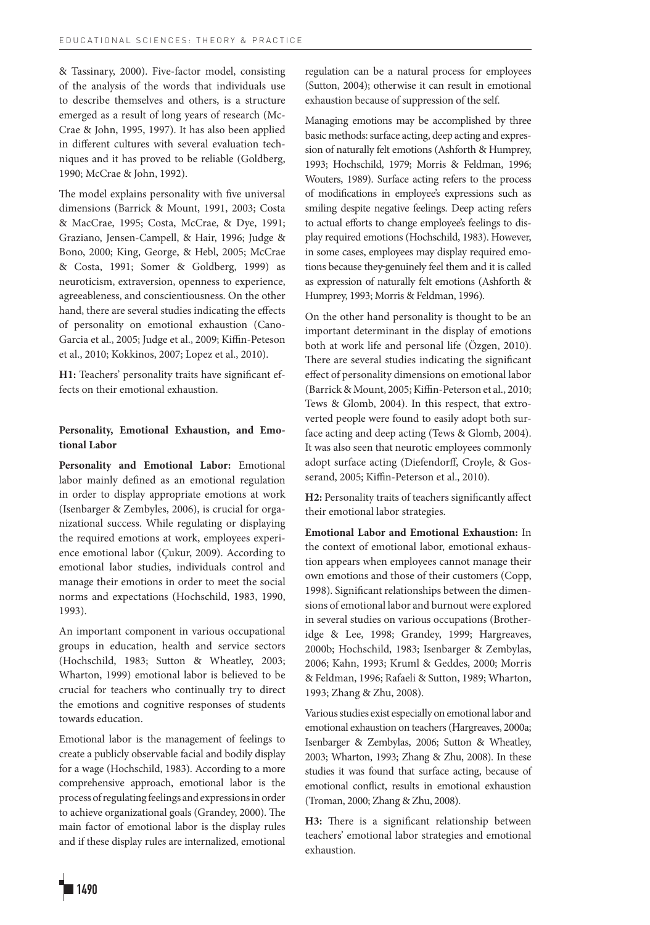& Tassinary, 2000). Five-factor model, consisting of the analysis of the words that individuals use to describe themselves and others, is a structure emerged as a result of long years of research (Mc-Crae & John, 1995, 1997). It has also been applied in different cultures with several evaluation techniques and it has proved to be reliable (Goldberg, 1990; McCrae & John, 1992).

The model explains personality with five universal dimensions (Barrick & Mount, 1991, 2003; Costa & MacCrae, 1995; Costa, McCrae, & Dye, 1991; Graziano, Jensen-Campell, & Hair, 1996; Judge & Bono, 2000; King, George, & Hebl, 2005; McCrae & Costa, 1991; Somer & Goldberg, 1999) as neuroticism, extraversion, openness to experience, agreeableness, and conscientiousness. On the other hand, there are several studies indicating the effects of personality on emotional exhaustion (Cano-Garcia et al., 2005; Judge et al., 2009; Kiffin-Peteson et al., 2010; Kokkinos, 2007; Lopez et al., 2010).

**H1:** Teachers' personality traits have significant effects on their emotional exhaustion.

## **Personality, Emotional Exhaustion, and Emotional Labor**

**Personality and Emotional Labor:** Emotional labor mainly defined as an emotional regulation in order to display appropriate emotions at work (Isenbarger & Zembyles, 2006), is crucial for organizational success. While regulating or displaying the required emotions at work, employees experience emotional labor (Çukur, 2009). According to emotional labor studies, individuals control and manage their emotions in order to meet the social norms and expectations (Hochschild, 1983, 1990, 1993).

An important component in various occupational groups in education, health and service sectors (Hochschild, 1983; Sutton & Wheatley, 2003; Wharton, 1999) emotional labor is believed to be crucial for teachers who continually try to direct the emotions and cognitive responses of students towards education.

Emotional labor is the management of feelings to create a publicly observable facial and bodily display for a wage (Hochschild, 1983). According to a more comprehensive approach, emotional labor is the process of regulating feelings and expressions in order to achieve organizational goals (Grandey, 2000). The main factor of emotional labor is the display rules and if these display rules are internalized, emotional regulation can be a natural process for employees (Sutton, 2004); otherwise it can result in emotional exhaustion because of suppression of the self.

Managing emotions may be accomplished by three basic methods: surface acting, deep acting and expression of naturally felt emotions (Ashforth & Humprey, 1993; Hochschild, 1979; Morris & Feldman, 1996; Wouters, 1989). Surface acting refers to the process of modifications in employee's expressions such as smiling despite negative feelings. Deep acting refers to actual efforts to change employee's feelings to display required emotions (Hochschild, 1983). However, in some cases, employees may display required emotions because they genuinely feel them and it is called as expression of naturally felt emotions (Ashforth & Humprey, 1993; Morris & Feldman, 1996).

On the other hand personality is thought to be an important determinant in the display of emotions both at work life and personal life (Özgen, 2010). There are several studies indicating the significant effect of personality dimensions on emotional labor (Barrick & Mount, 2005; Kiffin-Peterson et al., 2010; Tews & Glomb, 2004). In this respect, that extroverted people were found to easily adopt both surface acting and deep acting (Tews & Glomb, 2004). It was also seen that neurotic employees commonly adopt surface acting (Diefendorff, Croyle, & Gosserand, 2005; Kiffin-Peterson et al., 2010).

**H2:** Personality traits of teachers significantly affect their emotional labor strategies.

**Emotional Labor and Emotional Exhaustion:** In the context of emotional labor, emotional exhaustion appears when employees cannot manage their own emotions and those of their customers (Copp, 1998). Significant relationships between the dimensions of emotional labor and burnout were explored in several studies on various occupations (Brotheridge & Lee, 1998; Grandey, 1999; Hargreaves, 2000b; Hochschild, 1983; Isenbarger & Zembylas, 2006; Kahn, 1993; Kruml & Geddes, 2000; Morris & Feldman, 1996; Rafaeli & Sutton, 1989; Wharton, 1993; Zhang & Zhu, 2008).

Various studies exist especially on emotional labor and emotional exhaustion on teachers (Hargreaves, 2000a; Isenbarger & Zembylas, 2006; Sutton & Wheatley, 2003; Wharton, 1993; Zhang & Zhu, 2008). In these studies it was found that surface acting, because of emotional conflict, results in emotional exhaustion (Troman, 2000; Zhang & Zhu, 2008).

**H3:** There is a significant relationship between teachers' emotional labor strategies and emotional exhaustion.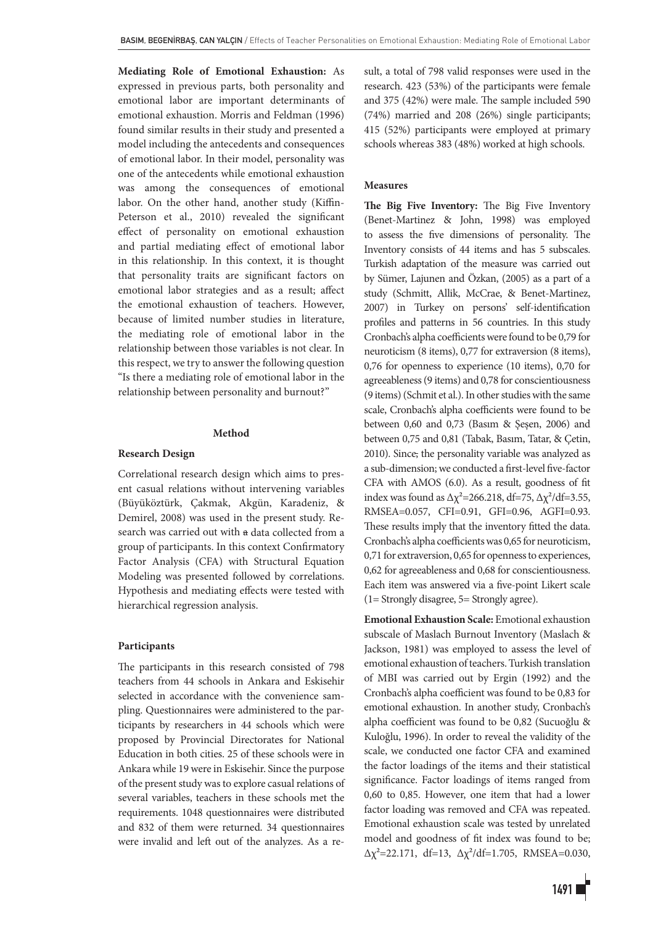**Mediating Role of Emotional Exhaustion:** As expressed in previous parts, both personality and emotional labor are important determinants of emotional exhaustion. Morris and Feldman (1996) found similar results in their study and presented a model including the antecedents and consequences of emotional labor. In their model, personality was one of the antecedents while emotional exhaustion was among the consequences of emotional labor. On the other hand, another study (Kiffin-Peterson et al., 2010) revealed the significant effect of personality on emotional exhaustion and partial mediating effect of emotional labor in this relationship. In this context, it is thought that personality traits are significant factors on emotional labor strategies and as a result; affect the emotional exhaustion of teachers. However, because of limited number studies in literature, the mediating role of emotional labor in the relationship between those variables is not clear. In this respect, we try to answer the following question "Is there a mediating role of emotional labor in the relationship between personality and burnout?"

### **Method**

#### **Research Design**

Correlational research design which aims to present casual relations without intervening variables (Büyüköztürk, Çakmak, Akgün, Karadeniz, & Demirel, 2008) was used in the present study. Research was carried out with a data collected from a group of participants. In this context Confirmatory Factor Analysis (CFA) with Structural Equation Modeling was presented followed by correlations. Hypothesis and mediating effects were tested with hierarchical regression analysis.

#### **Participants**

The participants in this research consisted of 798 teachers from 44 schools in Ankara and Eskisehir selected in accordance with the convenience sampling. Questionnaires were administered to the participants by researchers in 44 schools which were proposed by Provincial Directorates for National Education in both cities. 25 of these schools were in Ankara while 19 were in Eskisehir. Since the purpose of the present study was to explore casual relations of several variables, teachers in these schools met the requirements. 1048 questionnaires were distributed and 832 of them were returned. 34 questionnaires were invalid and left out of the analyzes. As a result, a total of 798 valid responses were used in the research. 423 (53%) of the participants were female and 375 (42%) were male. The sample included 590 (74%) married and 208 (26%) single participants; 415 (52%) participants were employed at primary schools whereas 383 (48%) worked at high schools.

## **Measures**

**The Big Five Inventory:** The Big Five Inventory (Benet-Martinez & John, 1998) was employed to assess the five dimensions of personality. The Inventory consists of 44 items and has 5 subscales. Turkish adaptation of the measure was carried out by Sümer, Lajunen and Özkan, (2005) as a part of a study (Schmitt, Allik, McCrae, & Benet-Martinez, 2007) in Turkey on persons' self-identification profiles and patterns in 56 countries. In this study Cronbach's alpha coefficients were found to be 0,79 for neuroticism (8 items), 0,77 for extraversion (8 items), 0,76 for openness to experience (10 items), 0,70 for agreeableness (9 items) and 0,78 for conscientiousness (9 items) (Schmit et al.). In other studies with the same scale, Cronbach's alpha coefficients were found to be between 0,60 and 0,73 (Basım & Şeşen, 2006) and between 0,75 and 0,81 (Tabak, Basım, Tatar, & Çetin, 2010). Since, the personality variable was analyzed as a sub-dimension; we conducted a first-level five-factor CFA with AMOS (6.0). As a result, goodness of fit index was found as  $\Delta \chi^2$ =266.218, df=75,  $\Delta \chi^2$ /df=3.55, RMSEA=0.057, CFI=0.91, GFI=0.96, AGFI=0.93. These results imply that the inventory fitted the data. Cronbach's alpha coefficients was 0,65 for neuroticism, 0,71 for extraversion, 0,65 for openness to experiences, 0,62 for agreeableness and 0,68 for conscientiousness. Each item was answered via a five-point Likert scale (1= Strongly disagree, 5= Strongly agree).

**Emotional Exhaustion Scale:** Emotional exhaustion subscale of Maslach Burnout Inventory (Maslach & Jackson, 1981) was employed to assess the level of emotional exhaustion of teachers. Turkish translation of MBI was carried out by Ergin (1992) and the Cronbach's alpha coefficient was found to be 0,83 for emotional exhaustion. In another study, Cronbach's alpha coefficient was found to be 0,82 (Sucuoğlu & Kuloğlu, 1996). In order to reveal the validity of the scale, we conducted one factor CFA and examined the factor loadings of the items and their statistical significance. Factor loadings of items ranged from 0,60 to 0,85. However, one item that had a lower factor loading was removed and CFA was repeated. Emotional exhaustion scale was tested by unrelated model and goodness of fit index was found to be;  $\Delta \chi^2$ =22.171, df=13,  $\Delta \chi^2$ /df=1.705, RMSEA=0.030,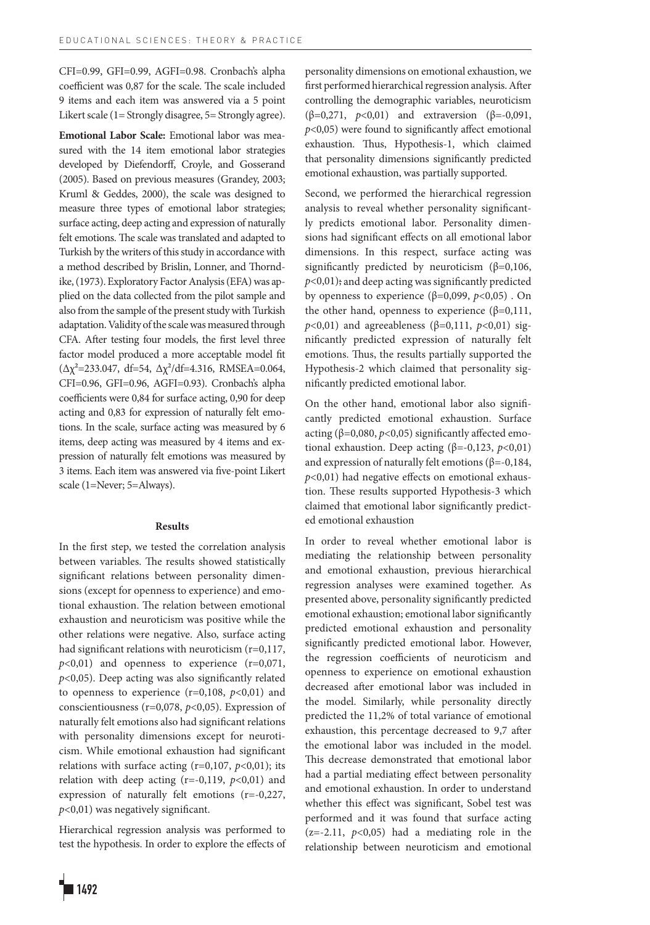CFI=0.99, GFI=0.99, AGFI=0.98. Cronbach's alpha coefficient was 0,87 for the scale. The scale included 9 items and each item was answered via a 5 point Likert scale (1= Strongly disagree, 5= Strongly agree).

**Emotional Labor Scale:** Emotional labor was measured with the 14 item emotional labor strategies developed by Diefendorff, Croyle, and Gosserand (2005). Based on previous measures (Grandey, 2003; Kruml & Geddes, 2000), the scale was designed to measure three types of emotional labor strategies; surface acting, deep acting and expression of naturally felt emotions. The scale was translated and adapted to Turkish by the writers of this study in accordance with a method described by Brislin, Lonner, and Thorndike, (1973). Exploratory Factor Analysis (EFA) was applied on the data collected from the pilot sample and also from the sample of the present study with Turkish adaptation. Validity of the scale was measured through CFA. After testing four models, the first level three factor model produced a more acceptable model fit  $(Δχ²=233.047, df=54, Δχ²/df=4.316, RMSEA=0.064,$ CFI=0.96, GFI=0.96, AGFI=0.93). Cronbach's alpha coefficients were 0,84 for surface acting, 0,90 for deep acting and 0,83 for expression of naturally felt emotions. In the scale, surface acting was measured by 6 items, deep acting was measured by 4 items and expression of naturally felt emotions was measured by 3 items. Each item was answered via five-point Likert scale (1=Never; 5=Always).

## **Results**

In the first step, we tested the correlation analysis between variables. The results showed statistically significant relations between personality dimensions (except for openness to experience) and emotional exhaustion. The relation between emotional exhaustion and neuroticism was positive while the other relations were negative. Also, surface acting had significant relations with neuroticism (r=0,117, *p*<0,01) and openness to experience (r=0,071, *p*<0,05). Deep acting was also significantly related to openness to experience  $(r=0,108, p<0,01)$  and conscientiousness (r=0,078, *p*<0,05). Expression of naturally felt emotions also had significant relations with personality dimensions except for neuroticism. While emotional exhaustion had significant relations with surface acting  $(r=0,107, p<0,01)$ ; its relation with deep acting  $(r=-0.119, p<0.01)$  and expression of naturally felt emotions (r=-0,227, *p*<0,01) was negatively significant.

Hierarchical regression analysis was performed to test the hypothesis. In order to explore the effects of Second, we performed the hierarchical regression analysis to reveal whether personality significantly predicts emotional labor. Personality dimensions had significant effects on all emotional labor dimensions. In this respect, surface acting was significantly predicted by neuroticism ( $\beta$ =0,106, *p*<0,01); and deep acting was significantly predicted by openness to experience (β=0,099, *p*<0,05) . On the other hand, openness to experience  $(β=0,111,$  $p<0,01$ ) and agreeableness ( $\beta=0,111$ ,  $p<0,01$ ) significantly predicted expression of naturally felt emotions. Thus, the results partially supported the Hypothesis-2 which claimed that personality significantly predicted emotional labor.

On the other hand, emotional labor also significantly predicted emotional exhaustion. Surface acting (β=0,080, *p*<0,05) significantly affected emotional exhaustion. Deep acting ( $\beta$ =-0,123,  $p$ <0,01) and expression of naturally felt emotions ( $\beta$ =-0,184,  $p$ <0,01) had negative effects on emotional exhaustion. These results supported Hypothesis-3 which claimed that emotional labor significantly predicted emotional exhaustion

In order to reveal whether emotional labor is mediating the relationship between personality and emotional exhaustion, previous hierarchical regression analyses were examined together. As presented above, personality significantly predicted emotional exhaustion; emotional labor significantly predicted emotional exhaustion and personality significantly predicted emotional labor. However, the regression coefficients of neuroticism and openness to experience on emotional exhaustion decreased after emotional labor was included in the model. Similarly, while personality directly predicted the 11,2% of total variance of emotional exhaustion, this percentage decreased to 9,7 after the emotional labor was included in the model. This decrease demonstrated that emotional labor had a partial mediating effect between personality and emotional exhaustion. In order to understand whether this effect was significant, Sobel test was performed and it was found that surface acting  $(z=-2.11, p<0.05)$  had a mediating role in the relationship between neuroticism and emotional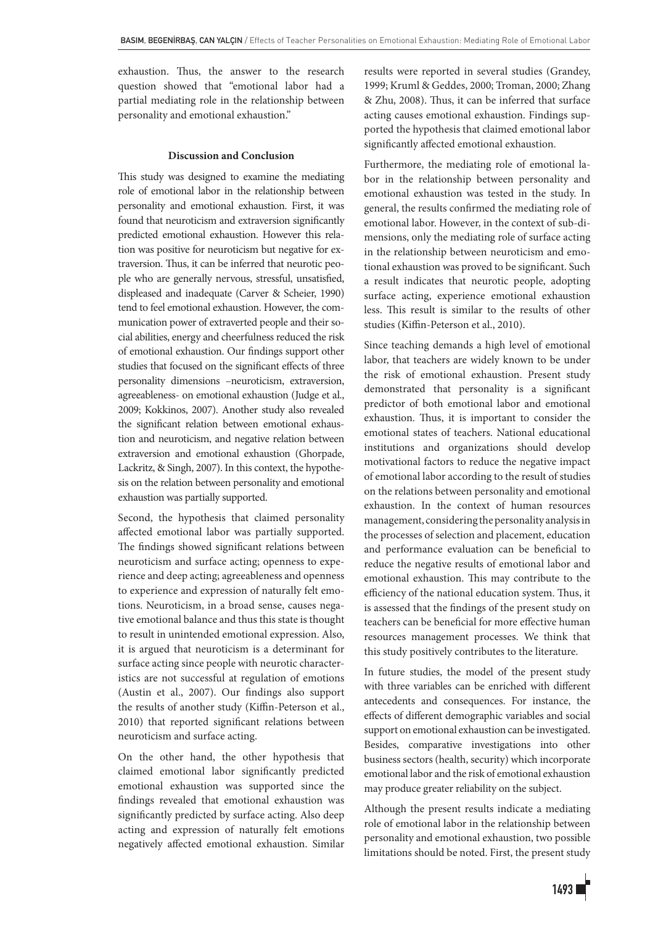exhaustion. Thus, the answer to the research question showed that "emotional labor had a partial mediating role in the relationship between personality and emotional exhaustion."

#### **Discussion and Conclusion**

This study was designed to examine the mediating role of emotional labor in the relationship between personality and emotional exhaustion. First, it was found that neuroticism and extraversion significantly predicted emotional exhaustion. However this relation was positive for neuroticism but negative for extraversion. Thus, it can be inferred that neurotic people who are generally nervous, stressful, unsatisfied, displeased and inadequate (Carver & Scheier, 1990) tend to feel emotional exhaustion. However, the communication power of extraverted people and their social abilities, energy and cheerfulness reduced the risk of emotional exhaustion. Our findings support other studies that focused on the significant effects of three personality dimensions –neuroticism, extraversion, agreeableness- on emotional exhaustion (Judge et al., 2009; Kokkinos, 2007). Another study also revealed the significant relation between emotional exhaustion and neuroticism, and negative relation between extraversion and emotional exhaustion (Ghorpade, Lackritz, & Singh, 2007). In this context, the hypothesis on the relation between personality and emotional exhaustion was partially supported.

Second, the hypothesis that claimed personality affected emotional labor was partially supported. The findings showed significant relations between neuroticism and surface acting; openness to experience and deep acting; agreeableness and openness to experience and expression of naturally felt emotions. Neuroticism, in a broad sense, causes negative emotional balance and thus this state is thought to result in unintended emotional expression. Also, it is argued that neuroticism is a determinant for surface acting since people with neurotic characteristics are not successful at regulation of emotions (Austin et al., 2007). Our findings also support the results of another study (Kiffin-Peterson et al., 2010) that reported significant relations between neuroticism and surface acting.

On the other hand, the other hypothesis that claimed emotional labor significantly predicted emotional exhaustion was supported since the findings revealed that emotional exhaustion was significantly predicted by surface acting. Also deep acting and expression of naturally felt emotions negatively affected emotional exhaustion. Similar results were reported in several studies (Grandey, 1999; Kruml & Geddes, 2000; Troman, 2000; Zhang & Zhu, 2008). Thus, it can be inferred that surface acting causes emotional exhaustion. Findings supported the hypothesis that claimed emotional labor significantly affected emotional exhaustion.

Furthermore, the mediating role of emotional labor in the relationship between personality and emotional exhaustion was tested in the study. In general, the results confirmed the mediating role of emotional labor. However, in the context of sub-dimensions, only the mediating role of surface acting in the relationship between neuroticism and emotional exhaustion was proved to be significant. Such a result indicates that neurotic people, adopting surface acting, experience emotional exhaustion less. This result is similar to the results of other studies (Kiffin-Peterson et al., 2010).

Since teaching demands a high level of emotional labor, that teachers are widely known to be under the risk of emotional exhaustion. Present study demonstrated that personality is a significant predictor of both emotional labor and emotional exhaustion. Thus, it is important to consider the emotional states of teachers. National educational institutions and organizations should develop motivational factors to reduce the negative impact of emotional labor according to the result of studies on the relations between personality and emotional exhaustion. In the context of human resources management, considering the personality analysis in the processes of selection and placement, education and performance evaluation can be beneficial to reduce the negative results of emotional labor and emotional exhaustion. This may contribute to the efficiency of the national education system. Thus, it is assessed that the findings of the present study on teachers can be beneficial for more effective human resources management processes. We think that this study positively contributes to the literature.

In future studies, the model of the present study with three variables can be enriched with different antecedents and consequences. For instance, the effects of different demographic variables and social support on emotional exhaustion can be investigated. Besides, comparative investigations into other business sectors (health, security) which incorporate emotional labor and the risk of emotional exhaustion may produce greater reliability on the subject.

Although the present results indicate a mediating role of emotional labor in the relationship between personality and emotional exhaustion, two possible limitations should be noted. First, the present study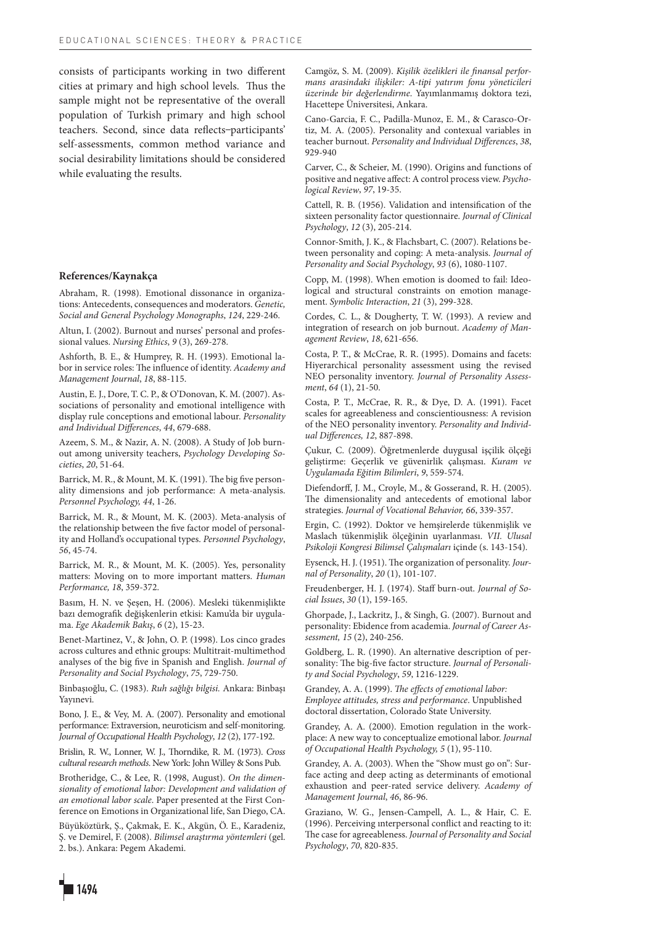consists of participants working in two different cities at primary and high school levels. Thus the sample might not be representative of the overall population of Turkish primary and high school teachers. Second, since data reflects-participants' self-assessments, common method variance and social desirability limitations should be considered while evaluating the results.

#### **References/Kaynakça**

Abraham, R. (1998). Emotional dissonance in organizations: Antecedents, consequences and moderators. *Genetic, Social and General Psychology Monographs*, *124*, 229-246.

Altun, I. (2002). Burnout and nurses' personal and professional values. *Nursing Ethics*, *9* (3), 269-278.

Ashforth, B. E., & Humprey, R. H. (1993). Emotional labor in service roles: The influence of identity. *Academy and Management Journal*, *18*, 88-115.

Austin, E. J., Dore, T. C. P., & O'Donovan, K. M. (2007). Associations of personality and emotional intelligence with display rule conceptions and emotional labour. *Personality and Individual Differences*, *44*, 679-688.

Azeem, S. M., & Nazir, A. N. (2008). A Study of Job burnout among university teachers, *Psychology Developing Societies*, *20*, 51-64.

Barrick, M. R., & Mount, M. K. (1991). The big five personality dimensions and job performance: A meta-analysis. *Personnel Psychology, 44*, 1-26.

Barrick, M. R., & Mount, M. K. (2003). Meta-analysis of the relationship between the five factor model of personality and Holland's occupational types. *Personnel Psychology*, *56*, 45-74.

Barrick, M. R., & Mount, M. K. (2005). Yes, personality matters: Moving on to more important matters. *Human Performance, 18*, 359-372.

Basım, H. N. ve Şeşen, H. (2006). Mesleki tükenmişlikte bazı demografik değişkenlerin etkisi: Kamu'da bir uygulama. *Ege Akademik Bakış*, *6* (2), 15-23.

Benet-Martinez, V., & John, O. P. (1998). Los cinco grades across cultures and ethnic groups: Multitrait-multimethod analyses of the big five in Spanish and English. *Journal of Personality and Social Psychology*, *75*, 729-750.

Binbaşıoğlu, C. (1983). *Ruh sağlığı bilgisi.* Ankara: Binbaşı Yayınevi.

Bono, J. E., & Vey, M. A. (2007). Personality and emotional performance: Extraversion, neuroticism and self-monitoring. *Journal of Occupational Health Psychology*, *12* (2), 177-192.

Brislin, R. W., Lonner, W. J., Thorndike, R. M. (1973). *Cross cultural research methods*. New York: John Willey & Sons Pub.

Brotheridge, C., & Lee, R. (1998, August). *On the dimensionality of emotional labor: Development and validation of an emotional labor scale*. Paper presented at the First Conference on Emotions in Organizational life, San Diego, CA.

Büyüköztürk, Ş., Çakmak, E. K., Akgün, Ö. E., Karadeniz, Ş. ve Demirel, F. (2008). *Bilimsel araştırma yöntemleri* (gel. 2. bs.). Ankara: Pegem Akademi.

Camgöz, S. M. (2009). *Kişilik özelikleri ile finansal performans arasindaki ilişkiler: A-tipi yatırım fonu yöneticileri üzerinde bir değerlendirme*. Yayımlanmamış doktora tezi, Hacettepe Üniversitesi, Ankara.

Cano-Garcia, F. C., Padilla-Munoz, E. M., & Carasco-Ortiz, M. A. (2005). Personality and contexual variables in teacher burnout. *Personality and Individual Differences*, *38*, 929-940

Carver, C., & Scheier, M. (1990). Origins and functions of positive and negative affect: A control process view. *Psychological Review*, *97*, 19-35.

Cattell, R. B. (1956). Validation and intensification of the sixteen personality factor questionnaire. *Journal of Clinical Psychology*, *12* (3), 205-214.

Connor-Smith, J. K., & Flachsbart, C. (2007). Relations between personality and coping: A meta-analysis. *Journal of Personality and Social Psychology*, *93* (6), 1080-1107.

Copp, M. (1998). When emotion is doomed to fail: Ideological and structural constraints on emotion management. *Symbolic Interaction*, *21* (3), 299-328.

Cordes, C. L., & Dougherty, T. W. (1993). A review and integration of research on job burnout. *Academy of Management Review*, *18*, 621-656.

Costa, P. T., & McCrae, R. R. (1995). Domains and facets: Hiyerarchical personality assessment using the revised NEO personality inventory. *Journal of Personality Assessment*, *64* (1), 21-50.

Costa, P. T., McCrae, R. R., & Dye, D. A. (1991). Facet scales for agreeableness and conscientiousness: A revision of the NEO personality inventory. *Personality and Individual Differences, 12*, 887-898.

Çukur, C. (2009). Öğretmenlerde duygusal işçilik ölçeği geliştirme: Geçerlik ve güvenirlik çalışması. *Kuram ve Uygulamada Eğitim Bilimleri*, *9*, 559-574.

Diefendorff, J. M., Croyle, M., & Gosserand, R. H. (2005). The dimensionality and antecedents of emotional labor strategies. *Journal of Vocational Behavior, 66*, 339-357.

Ergin, C. (1992). Doktor ve hemşirelerde tükenmişlik ve Maslach tükenmişlik ölçeğinin uyarlanması. *VII. Ulusal Psikoloji Kongresi Bilimsel Çalışmaları* içinde (s. 143-154).

Eysenck, H. J. (1951). The organization of personality. *Journal of Personality*, *20* (1), 101-107.

Freudenberger, H. J. (1974). Staff burn-out. *Journal of Social Issues*, *30* (1), 159-165.

Ghorpade, J., Lackritz, J., & Singh, G. (2007). Burnout and personality: Ebidence from academia. *Journal of Career Assessment, 15* (2), 240-256.

Goldberg, L. R. (1990). An alternative description of personality: The big-five factor structure. *Journal of Personality and Social Psychology*, *59*, 1216-1229.

Grandey, A. A. (1999). *The effects of emotional labor: Employee attitudes, stress and performance*. Unpublished doctoral dissertation, Colorado State University.

Grandey, A. A. (2000). Emotion regulation in the workplace: A new way to conceptualize emotional labor. *Journal of Occupational Health Psychology, 5* (1), 95-110.

Grandey, A. A. (2003). When the "Show must go on": Surface acting and deep acting as determinants of emotional exhaustion and peer-rated service delivery. *Academy of Management Journal*, *46*, 86-96.

Graziano, W. G., Jensen-Campell, A. L., & Hair, C. E. (1996). Perceiving ınterpersonal conflict and reacting to it: The case for agreeableness. *Journal of Personality and Social Psychology*, *70*, 820-835.

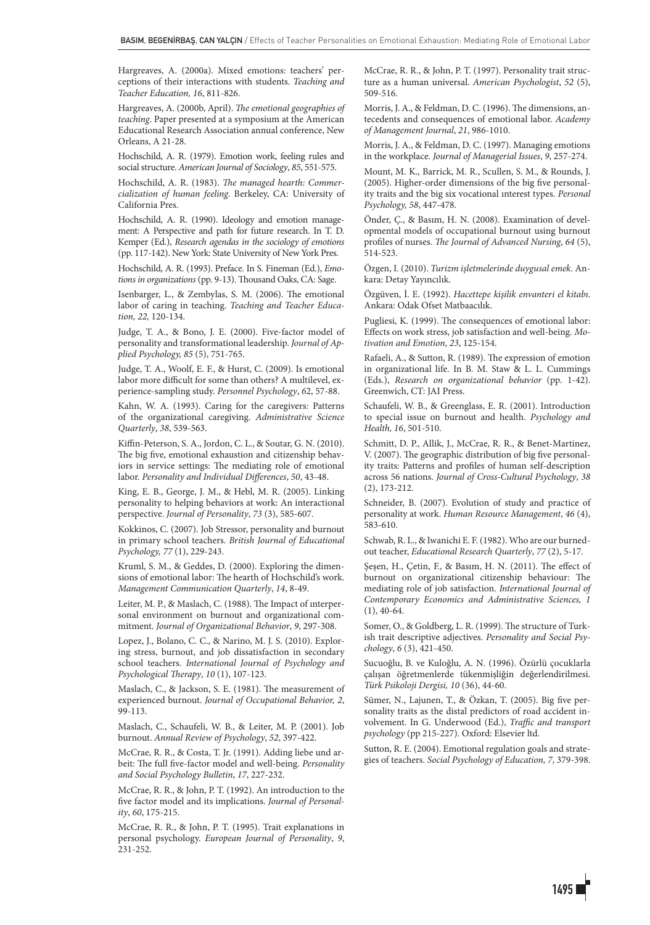Hargreaves, A. (2000a). Mixed emotions: teachers' perceptions of their interactions with students. *Teaching and Teacher Education, 16*, 811-826.

Hargreaves, A. (2000b, April). *The emotional geographies of teaching*. Paper presented at a symposium at the American Educational Research Association annual conference, New Orleans, A 21-28.

Hochschild, A. R. (1979). Emotion work, feeling rules and social structure. *American Journal of Sociology*, *85*, 551-575.

Hochschild, A. R. (1983). *The managed hearth: Commercialization of human feeling*. Berkeley, CA: University of California Pres.

Hochschild, A. R. (1990). Ideology and emotion management: A Perspective and path for future research. In T. D. Kemper (Ed.), *Research agendas in the sociology of emotions* (pp. 117-142). New York: State University of New York Pres.

Hochschild, A. R. (1993). Preface. In S. Fineman (Ed.), *Emotions in organizations* (pp. 9-13). Thousand Oaks, CA: Sage.

Isenbarger, L., & Zembylas, S. M. (2006). The emotional labor of caring in teaching. *Teaching and Teacher Education, 22,* 120-134.

Judge, T. A., & Bono, J. E. (2000). Five-factor model of personality and transformational leadership. *Journal of Applied Psychology, 85* (5), 751-765.

Judge, T. A., Woolf, E. F., & Hurst, C. (2009). Is emotional labor more difficult for some than others? A multilevel, experience-sampling study. *Personnel Psychology*, *6*2, 57-88.

Kahn, W. A. (1993). Caring for the caregivers: Patterns of the organizational caregiving. *Administrative Science Quarterly*, *38*, 539-563.

Kiffin-Peterson, S. A., Jordon, C. L., & Soutar, G. N. (2010). The big five, emotional exhaustion and citizenship behaviors in service settings: The mediating role of emotional labor. *Personality and Individual Differences*, *50*, 43-48.

King, E. B., George, J. M., & Hebl, M. R. (2005). Linking personality to helping behaviors at work: An interactional perspective. *Journal of Personality*, *73* (3), 585-607.

Kokkinos, C. (2007). Job Stressor, personality and burnout in primary school teachers. *British Journal of Educational Psychology, 77* (1), 229-243.

Kruml, S. M., & Geddes, D. (2000). Exploring the dimensions of emotional labor: The hearth of Hochschild's work. *Management Communication Quarterly*, *14*, 8-49.

Leiter, M. P., & Maslach, C. (1988). The Impact of ınterpersonal environment on burnout and organizational commitment. *Journal of Organizational Behavior*, *9*, 297-308.

Lopez, J., Bolano, C. C., & Narino, M. J. S. (2010). Exploring stress, burnout, and job dissatisfaction in secondary school teachers. *International Journal of Psychology and Psychological Therapy*, *10* (1), 107-123.

Maslach, C., & Jackson, S. E. (1981). The measurement of experienced burnout. *Journal of Occupational Behavior, 2*, 99-113.

Maslach, C., Schaufeli, W. B., & Leiter, M. P. (2001). Job burnout. *Annual Review of Psychology*, *52*, 397-422.

McCrae, R. R., & Costa, T. Jr. (1991). Adding liebe und arbeit: The full five-factor model and well-being. *Personality and Social Psychology Bulletin*, *17*, 227-232.

McCrae, R. R., & John, P. T. (1992). An introduction to the five factor model and its implications. *Journal of Personality*, *60*, 175-215.

McCrae, R. R., & John, P. T. (1995). Trait explanations in personal psychology. *European Journal of Personality*, *9*,  $231 - 252$ 

McCrae, R. R., & John, P. T. (1997). Personality trait structure as a human universal. *American Psychologist*, *52* (5), 509-516.

Morris, J. A., & Feldman, D. C. (1996). The dimensions, antecedents and consequences of emotional labor. *Academy of Management Journal*, *21*, 986-1010.

Morris, J. A., & Feldman, D. C. (1997). Managing emotions in the workplace. *Journal of Managerial Issues*, *9*, 257-274.

Mount, M. K., Barrick, M. R., Scullen, S. M., & Rounds, J. (2005). Higher-order dimensions of the big five personality traits and the big six vocational ınterest types. *Personal Psychology, 58*, 447-478.

Önder, Ç., & Basım, H. N. (2008). Examination of developmental models of occupational burnout using burnout profiles of nurses. *The Journal of Advanced Nursing*, *64* (5), 514-523.

Özgen, I. (2010). *Turizm işletmelerinde duygusal emek*. Ankara: Detay Yayıncılık.

Özgüven, İ. E. (1992). *Hacettepe kişilik envanteri el kitabı*. Ankara: Odak Ofset Matbaacılık.

Pugliesi, K. (1999). The consequences of emotional labor: Effects on work stress, job satisfaction and well-being. *Motivation and Emotion*, *23*, 125-154.

Rafaeli, A., & Sutton, R. (1989). The expression of emotion in organizational life. In B. M. Staw & L. L. Cummings (Eds.), *Research on organizational behavior* (pp. 1-42). Greenwich, CT: JAI Press.

Schaufeli, W. B., & Greenglass, E. R. (2001). Introduction to special issue on burnout and health. *Psychology and Health, 16*, 501-510.

Schmitt, D. P., Allik, J., McCrae, R. R., & Benet-Martinez, V. (2007). The geographic distribution of big five personality traits: Patterns and profiles of human self-description across 56 nations. *Journal of Cross-Cultural Psychology*, *38* (2), 173-212.

Schneider, B. (2007). Evolution of study and practice of personality at work. *Human Resource Management*, *46* (4), 583-610.

Schwab, R. L., & Iwanichi E. F. (1982). Who are our burnedout teacher, *Educational Research Quarterly*, *77* (2), 5-17.

Sesen, H., Cetin, F., & Basım, H. N. (2011). The effect of burnout on organizational citizenship behaviour: The mediating role of job satisfaction. *International Journal of Contemporary Economics and Administrative Sciences, 1* (1), 40-64.

Somer, O., & Goldberg, L. R. (1999). The structure of Turkish trait descriptive adjectives. *Personality and Social Psychology*, *6* (3), 421-450.

Sucuoğlu, B. ve Kuloğlu, A. N. (1996). Özürlü çocuklarla çalışan öğretmenlerde tükenmişliğin değerlendirilmesi. *Türk Psikoloji Dergisi, 10* (36), 44-60.

Sümer, N., Lajunen, T., & Özkan, T. (2005). Big five personality traits as the distal predictors of road accident involvement. In G. Underwood (Ed.), *Traffic and transport psychology* (pp 215-227). Oxford: Elsevier ltd.

Sutton, R. E. (2004). Emotional regulation goals and strategies of teachers. *Social Psychology of Education, 7*, 379-398.